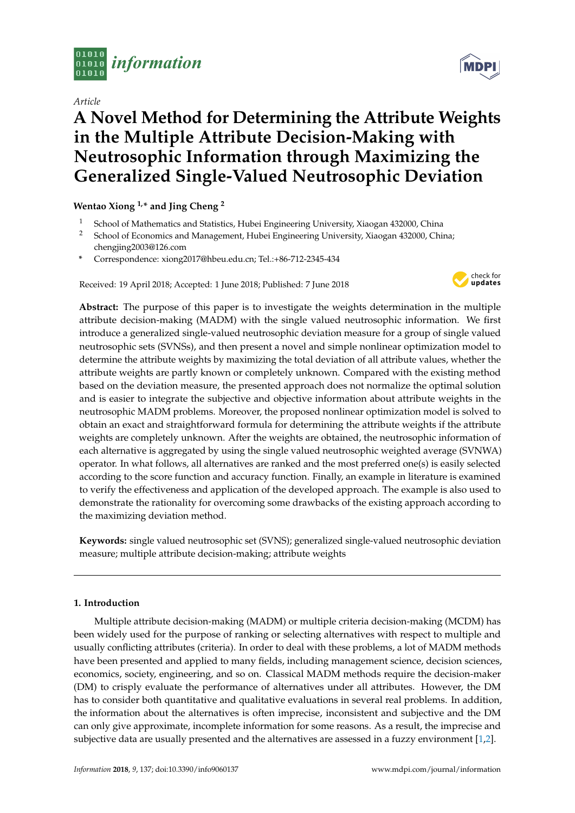

*Article*

# **A Novel Method for Determining the Attribute Weights in the Multiple Attribute Decision-Making with Neutrosophic Information through Maximizing the Generalized Single-Valued Neutrosophic Deviation**

# **Wentao Xiong 1,\* and Jing Cheng <sup>2</sup>**

- <sup>1</sup> School of Mathematics and Statistics, Hubei Engineering University, Xiaogan 432000, China<br><sup>2</sup> School of Economics and Managament, Hubei Engineering University, Xiaogan 432000, Chi
- <sup>2</sup> School of Economics and Management, Hubei Engineering University, Xiaogan 432000, China; chengjing2003@126.com
- **\*** Correspondence: xiong2017@hbeu.edu.cn; Tel.:+86-712-2345-434

Received: 19 April 2018; Accepted: 1 June 2018; Published: 7 June 2018



**Abstract:** The purpose of this paper is to investigate the weights determination in the multiple attribute decision-making (MADM) with the single valued neutrosophic information. We first introduce a generalized single-valued neutrosophic deviation measure for a group of single valued neutrosophic sets (SVNSs), and then present a novel and simple nonlinear optimization model to determine the attribute weights by maximizing the total deviation of all attribute values, whether the attribute weights are partly known or completely unknown. Compared with the existing method based on the deviation measure, the presented approach does not normalize the optimal solution and is easier to integrate the subjective and objective information about attribute weights in the neutrosophic MADM problems. Moreover, the proposed nonlinear optimization model is solved to obtain an exact and straightforward formula for determining the attribute weights if the attribute weights are completely unknown. After the weights are obtained, the neutrosophic information of each alternative is aggregated by using the single valued neutrosophic weighted average (SVNWA) operator. In what follows, all alternatives are ranked and the most preferred one(s) is easily selected according to the score function and accuracy function. Finally, an example in literature is examined to verify the effectiveness and application of the developed approach. The example is also used to demonstrate the rationality for overcoming some drawbacks of the existing approach according to the maximizing deviation method.

**Keywords:** single valued neutrosophic set (SVNS); generalized single-valued neutrosophic deviation measure; multiple attribute decision-making; attribute weights

# **1. Introduction**

Multiple attribute decision-making (MADM) or multiple criteria decision-making (MCDM) has been widely used for the purpose of ranking or selecting alternatives with respect to multiple and usually conflicting attributes (criteria). In order to deal with these problems, a lot of MADM methods have been presented and applied to many fields, including management science, decision sciences, economics, society, engineering, and so on. Classical MADM methods require the decision-maker (DM) to crisply evaluate the performance of alternatives under all attributes. However, the DM has to consider both quantitative and qualitative evaluations in several real problems. In addition, the information about the alternatives is often imprecise, inconsistent and subjective and the DM can only give approximate, incomplete information for some reasons. As a result, the imprecise and subjective data are usually presented and the alternatives are assessed in a fuzzy environment [\[1,](#page-12-0)[2\]](#page-12-1).

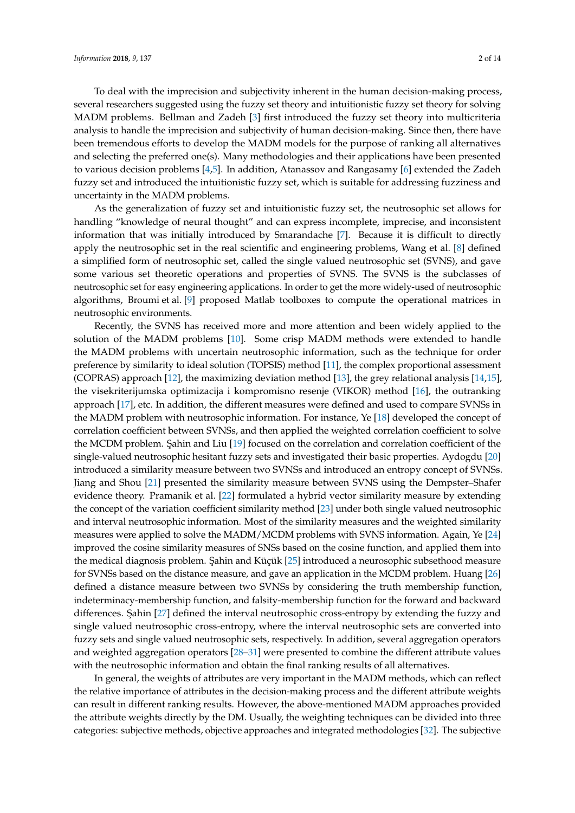To deal with the imprecision and subjectivity inherent in the human decision-making process, several researchers suggested using the fuzzy set theory and intuitionistic fuzzy set theory for solving MADM problems. Bellman and Zadeh [\[3\]](#page-12-2) first introduced the fuzzy set theory into multicriteria analysis to handle the imprecision and subjectivity of human decision-making. Since then, there have been tremendous efforts to develop the MADM models for the purpose of ranking all alternatives and selecting the preferred one(s). Many methodologies and their applications have been presented to various decision problems [\[4,](#page-12-3)[5\]](#page-12-4). In addition, Atanassov and Rangasamy [\[6\]](#page-12-5) extended the Zadeh fuzzy set and introduced the intuitionistic fuzzy set, which is suitable for addressing fuzziness and uncertainty in the MADM problems.

As the generalization of fuzzy set and intuitionistic fuzzy set, the neutrosophic set allows for handling "knowledge of neural thought" and can express incomplete, imprecise, and inconsistent information that was initially introduced by Smarandache [\[7\]](#page-12-6). Because it is difficult to directly apply the neutrosophic set in the real scientific and engineering problems, Wang et al. [\[8\]](#page-12-7) defined a simplified form of neutrosophic set, called the single valued neutrosophic set (SVNS), and gave some various set theoretic operations and properties of SVNS. The SVNS is the subclasses of neutrosophic set for easy engineering applications. In order to get the more widely-used of neutrosophic algorithms, Broumi et al. [\[9\]](#page-12-8) proposed Matlab toolboxes to compute the operational matrices in neutrosophic environments.

Recently, the SVNS has received more and more attention and been widely applied to the solution of the MADM problems [\[10\]](#page-12-9). Some crisp MADM methods were extended to handle the MADM problems with uncertain neutrosophic information, such as the technique for order preference by similarity to ideal solution (TOPSIS) method [\[11\]](#page-12-10), the complex proportional assessment (COPRAS) approach [\[12\]](#page-12-11), the maximizing deviation method [\[13\]](#page-12-12), the grey relational analysis [\[14,](#page-12-13)[15\]](#page-12-14), the visekriterijumska optimizacija i kompromisno resenje (VIKOR) method [\[16\]](#page-12-15), the outranking approach [\[17\]](#page-12-16), etc. In addition, the different measures were defined and used to compare SVNSs in the MADM problem with neutrosophic information. For instance, Ye [\[18\]](#page-12-17) developed the concept of correlation coefficient between SVNSs, and then applied the weighted correlation coefficient to solve the MCDM problem. Sahin and Liu [\[19\]](#page-13-0) focused on the correlation and correlation coefficient of the single-valued neutrosophic hesitant fuzzy sets and investigated their basic properties. Aydogdu [\[20\]](#page-13-1) introduced a similarity measure between two SVNSs and introduced an entropy concept of SVNSs. Jiang and Shou [\[21\]](#page-13-2) presented the similarity measure between SVNS using the Dempster–Shafer evidence theory. Pramanik et al. [\[22\]](#page-13-3) formulated a hybrid vector similarity measure by extending the concept of the variation coefficient similarity method [\[23\]](#page-13-4) under both single valued neutrosophic and interval neutrosophic information. Most of the similarity measures and the weighted similarity measures were applied to solve the MADM/MCDM problems with SVNS information. Again, Ye [\[24\]](#page-13-5) improved the cosine similarity measures of SNSs based on the cosine function, and applied them into the medical diagnosis problem. Şahin and Küçük [\[25\]](#page-13-6) introduced a neurosophic subsethood measure for SVNSs based on the distance measure, and gave an application in the MCDM problem. Huang [\[26\]](#page-13-7) defined a distance measure between two SVNSs by considering the truth membership function, indeterminacy-membership function, and falsity-membership function for the forward and backward differences. Sahin [\[27\]](#page-13-8) defined the interval neutrosophic cross-entropy by extending the fuzzy and single valued neutrosophic cross-entropy, where the interval neutrosophic sets are converted into fuzzy sets and single valued neutrosophic sets, respectively. In addition, several aggregation operators and weighted aggregation operators [\[28](#page-13-9)[–31\]](#page-13-10) were presented to combine the different attribute values with the neutrosophic information and obtain the final ranking results of all alternatives.

In general, the weights of attributes are very important in the MADM methods, which can reflect the relative importance of attributes in the decision-making process and the different attribute weights can result in different ranking results. However, the above-mentioned MADM approaches provided the attribute weights directly by the DM. Usually, the weighting techniques can be divided into three categories: subjective methods, objective approaches and integrated methodologies [\[32\]](#page-13-11). The subjective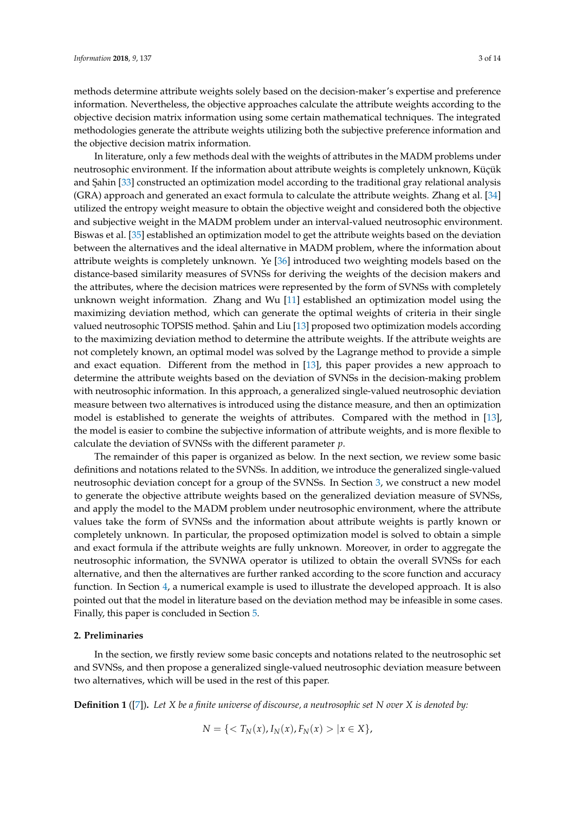methods determine attribute weights solely based on the decision-maker's expertise and preference information. Nevertheless, the objective approaches calculate the attribute weights according to the objective decision matrix information using some certain mathematical techniques. The integrated methodologies generate the attribute weights utilizing both the subjective preference information and the objective decision matrix information.

In literature, only a few methods deal with the weights of attributes in the MADM problems under neutrosophic environment. If the information about attribute weights is completely unknown, Küçük and Şahin [\[33\]](#page-13-12) constructed an optimization model according to the traditional gray relational analysis (GRA) approach and generated an exact formula to calculate the attribute weights. Zhang et al. [\[34\]](#page-13-13) utilized the entropy weight measure to obtain the objective weight and considered both the objective and subjective weight in the MADM problem under an interval-valued neutrosophic environment. Biswas et al. [\[35\]](#page-13-14) established an optimization model to get the attribute weights based on the deviation between the alternatives and the ideal alternative in MADM problem, where the information about attribute weights is completely unknown. Ye [\[36\]](#page-13-15) introduced two weighting models based on the distance-based similarity measures of SVNSs for deriving the weights of the decision makers and the attributes, where the decision matrices were represented by the form of SVNSs with completely unknown weight information. Zhang and Wu [\[11\]](#page-12-10) established an optimization model using the maximizing deviation method, which can generate the optimal weights of criteria in their single valued neutrosophic TOPSIS method. Şahin and Liu [\[13\]](#page-12-12) proposed two optimization models according to the maximizing deviation method to determine the attribute weights. If the attribute weights are not completely known, an optimal model was solved by the Lagrange method to provide a simple and exact equation. Different from the method in [\[13\]](#page-12-12), this paper provides a new approach to determine the attribute weights based on the deviation of SVNSs in the decision-making problem with neutrosophic information. In this approach, a generalized single-valued neutrosophic deviation measure between two alternatives is introduced using the distance measure, and then an optimization model is established to generate the weights of attributes. Compared with the method in [\[13\]](#page-12-12), the model is easier to combine the subjective information of attribute weights, and is more flexible to calculate the deviation of SVNSs with the different parameter *p*.

The remainder of this paper is organized as below. In the next section, we review some basic definitions and notations related to the SVNSs. In addition, we introduce the generalized single-valued neutrosophic deviation concept for a group of the SVNSs. In Section [3,](#page-4-0) we construct a new model to generate the objective attribute weights based on the generalized deviation measure of SVNSs, and apply the model to the MADM problem under neutrosophic environment, where the attribute values take the form of SVNSs and the information about attribute weights is partly known or completely unknown. In particular, the proposed optimization model is solved to obtain a simple and exact formula if the attribute weights are fully unknown. Moreover, in order to aggregate the neutrosophic information, the SVNWA operator is utilized to obtain the overall SVNSs for each alternative, and then the alternatives are further ranked according to the score function and accuracy function. In Section [4,](#page-8-0) a numerical example is used to illustrate the developed approach. It is also pointed out that the model in literature based on the deviation method may be infeasible in some cases. Finally, this paper is concluded in Section [5.](#page-11-0)

#### **2. Preliminaries**

In the section, we firstly review some basic concepts and notations related to the neutrosophic set and SVNSs, and then propose a generalized single-valued neutrosophic deviation measure between two alternatives, which will be used in the rest of this paper.

<span id="page-2-0"></span>**Definition 1** ([\[7\]](#page-12-6))**.** *Let X be a finite universe of discourse, a neutrosophic set N over X is denoted by:*

$$
N = \{ \langle T_N(x), I_N(x), F_N(x) \rangle | x \in X \},
$$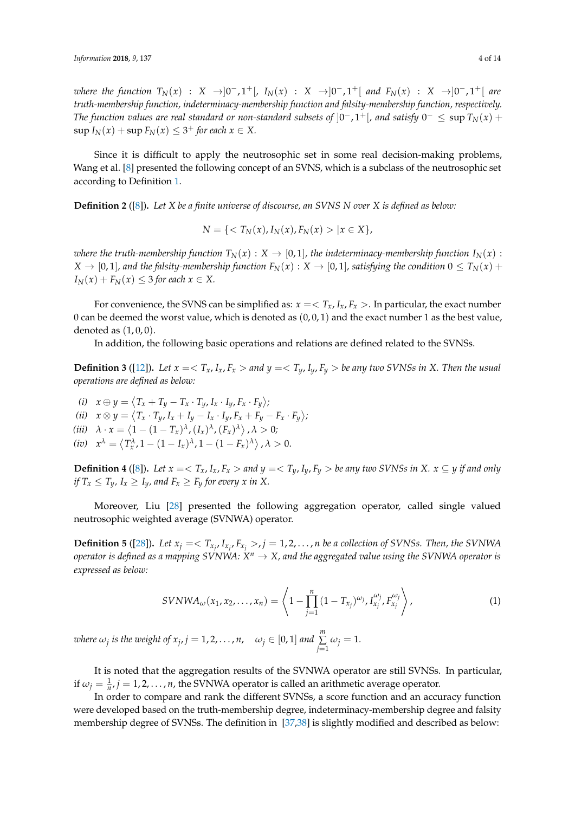*where the function*  $T_N(x)$  : *X* →  $]0^-, 1^+$  [*,*  $I_N(x)$  : *X* →  $]0^-, 1^+$ [ *and*  $F_N(x)$  : *X* →  $]0^-, 1^+$ [ *are truth-membership function, indeterminacy-membership function and falsity-membership function, respectively. The function values are real standard or non-standard subsets of*  $]0^-,1^+[$  *, and satisfy*  $0^-\leq\sup T_N(x)+$  $\sup I_N(x) + \sup F_N(x) \leq 3^+$  *for each*  $x \in X$ .

Since it is difficult to apply the neutrosophic set in some real decision-making problems, Wang et al. [\[8\]](#page-12-7) presented the following concept of an SVNS, which is a subclass of the neutrosophic set according to Definition [1.](#page-2-0)

**Definition 2** ([\[8\]](#page-12-7))**.** *Let X be a finite universe of discourse, an SVNS N over X is defined as below:*

$$
N = \{ \langle T_N(x), I_N(x), F_N(x) \rangle \mid x \in X \},\
$$

*where the truth-membership function*  $T_N(x) : X \to [0,1]$ *, the indeterminacy-membership function*  $I_N(x)$ :  $X \to [0, 1]$ , and the falsity-membership function  $F_N(x) : X \to [0, 1]$ , satisfying the condition  $0 \le T_N(x) +$  $I_N(x) + F_N(x) \leq 3$  *for each*  $x \in X$ .

For convenience, the SVNS can be simplified as:  $x = \langle T_x, I_x, F_x \rangle$ . In particular, the exact number 0 can be deemed the worst value, which is denoted as  $(0, 0, 1)$  and the exact number 1 as the best value, denoted as  $(1, 0, 0)$ .

In addition, the following basic operations and relations are defined related to the SVNSs.

**Definition 3** ([\[12\]](#page-12-11)). Let  $x = \langle T_x, I_x, F_x \rangle$  and  $y = \langle T_y, I_y, F_y \rangle$  be any two SVNSs in X. Then the usual *operations are defined as below:*

 $\langle i \rangle$   $x \oplus y = \langle T_x + T_y - T_x \cdot T_y, I_x \cdot I_y, F_x \cdot F_y \rangle;$ (ii)  $x \otimes y = \langle T_x \cdot T_y, I_x + I_y - I_x \cdot I_y, F_x + F_y - F_x \cdot F_y \rangle;$ (*iii*)  $\lambda \cdot x = \langle 1 - (1 - T_x)^\lambda, (I_x)^\lambda, (F_x)^\lambda \rangle, \lambda > 0;$  $(i\mathcal{V})$   $\mathcal{X}^{\lambda} = \langle T^{\lambda}_{x}, 1 - (1 - I_{x})^{\lambda}, 1 - (1 - F_{x})^{\lambda} \rangle$ ,  $\lambda > 0$ .

<span id="page-3-0"></span>**Definition 4** ([\[8\]](#page-12-7)). Let  $x = \langle T_x, I_x, F_x \rangle$  and  $y = \langle T_y, I_y, F_y \rangle$  be any two SVNSs in X.  $x \subseteq y$  if and only *if*  $T_x \leq T_y$ ,  $I_x \geq I_y$ , and  $F_x \geq F_y$  for every x in X.

Moreover, Liu [\[28\]](#page-13-9) presented the following aggregation operator, called single valued neutrosophic weighted average (SVNWA) operator.

<span id="page-3-2"></span>**Definition 5** ([\[28\]](#page-13-9)). Let  $x_j = \langle T_{x_j}, I_{x_j}, F_{x_j} \rangle$ ,  $j = 1, 2, ..., n$  be a collection of SVNSs. Then, the SVNWA  $\rho$ perator is defined as a mapping SVNWA:  $X^n \to X$ , and the aggregated value using the SVNWA operator is *expressed as below:*

<span id="page-3-1"></span>
$$
SVMWA_{\omega}(x_1, x_2,..., x_n) = \left\langle 1 - \prod_{j=1}^n (1 - T_{x_j})^{\omega_j}, I_{x_j}^{\omega_j}, F_{x_j}^{\omega_j} \right\rangle, \tag{1}
$$

*where*  $\omega_j$  is the weight of  $x_j$ ,  $j = 1, 2, \ldots, n$ ,  $\omega_j \in [0, 1]$  and  $\sum_{j=1}^{m}$  $\sum_{j=1}$   $\omega_j = 1$ *.* 

It is noted that the aggregation results of the SVNWA operator are still SVNSs. In particular, if  $\omega_j = \frac{1}{n}$ ,  $j = 1, 2, ..., n$ , the SVNWA operator is called an arithmetic average operator.

In order to compare and rank the different SVNSs, a score function and an accuracy function were developed based on the truth-membership degree, indeterminacy-membership degree and falsity membership degree of SVNSs. The definition in [\[37](#page-13-16)[,38\]](#page-13-17) is slightly modified and described as below: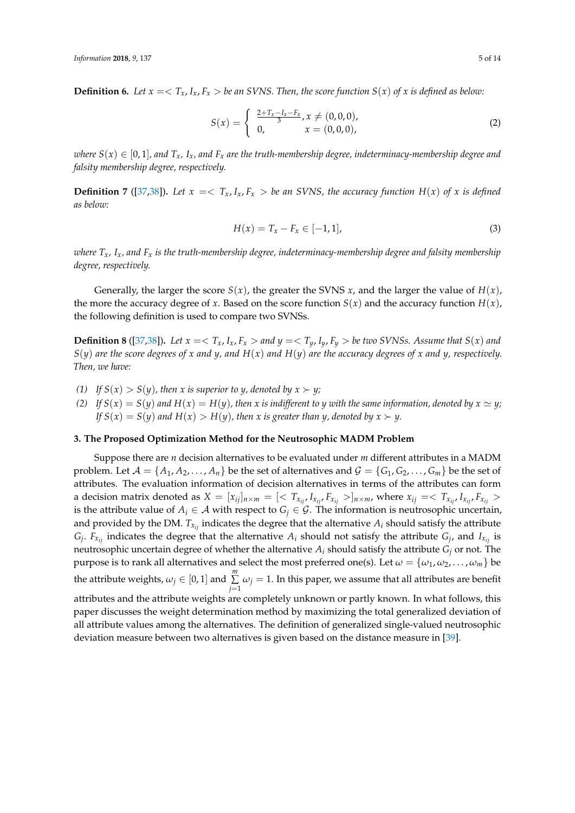**Definition 6.** Let  $x = \langle T_x, I_x, F_x \rangle$  be an SVNS. Then, the score function  $S(x)$  of x is defined as below:

$$
S(x) = \begin{cases} \frac{2+T_x - I_x - F_x}{3}, x \neq (0,0,0), \\ 0, & x = (0,0,0), \end{cases}
$$
 (2)

*where*  $S(x) \in [0,1]$ *, and*  $T_x$ ,  $I_x$ *, and*  $F_x$  *are the truth-membership degree, indeterminacy-membership degree and falsity membership degree, respectively.*

**Definition 7** ([\[37](#page-13-16)[,38\]](#page-13-17)). Let  $x = \sum_{x} I_x I_x F_x >$  be an SVNS, the accuracy function  $H(x)$  of x is defined *as below:*

$$
H(x) = T_x - F_x \in [-1, 1],
$$
\n(3)

*where Tx, Ix, and F<sup>x</sup> is the truth-membership degree, indeterminacy-membership degree and falsity membership degree, respectively.*

Generally, the larger the score  $S(x)$ , the greater the SVNS  $x$ , and the larger the value of  $H(x)$ , the more the accuracy degree of *x*. Based on the score function  $S(x)$  and the accuracy function  $H(x)$ , the following definition is used to compare two SVNSs.

<span id="page-4-1"></span>**Definition 8** ([\[37,](#page-13-16)[38\]](#page-13-17)). Let  $x = \langle T_x, I_x, F_x \rangle$  and  $y = \langle T_y, I_y, F_y \rangle$  be two SVNSs. Assume that  $S(x)$  and  $S(y)$  *are the score degrees of x and y, and*  $H(x)$  *and*  $H(y)$  *are the accuracy degrees of x and y, respectively. Then, we have:*

- *(1) If*  $S(x) > S(y)$ *, then x is superior to y, denoted by*  $x \succ y$ *;*
- (2) If  $S(x) = S(y)$  and  $H(x) = H(y)$ , then x is indifferent to y with the same information, denoted by  $x \simeq y$ ; *If*  $S(x) = S(y)$  and  $H(x) > H(y)$ , then x is greater than y, denoted by  $x \succ y$ .

## <span id="page-4-0"></span>**3. The Proposed Optimization Method for the Neutrosophic MADM Problem**

Suppose there are *n* decision alternatives to be evaluated under *m* different attributes in a MADM problem. Let  $\mathcal{A} = \{A_1, A_2, \dots, A_n\}$  be the set of alternatives and  $\mathcal{G} = \{G_1, G_2, \dots, G_m\}$  be the set of attributes. The evaluation information of decision alternatives in terms of the attributes can form a decision matrix denoted as  $X = [x_{ij}]_{n \times m} = \{ \langle T_{x_{ij}}, I_{x_{ij}}, F_{x_{ij}} \rangle \}_{n \times m}$ , where  $x_{ij} = \langle T_{x_{ij}}, I_{x_{ij}}, F_{x_{ij}} \rangle$ is the attribute value of  $A_i \in \mathcal{A}$  with respect to  $G_i \in \mathcal{G}$ . The information is neutrosophic uncertain, and provided by the DM.  $T_{x_{ij}}$  indicates the degree that the alternative  $A_i$  should satisfy the attribute  $G_j$ .  $F_{x_{ij}}$  indicates the degree that the alternative  $A_i$  should not satisfy the attribute  $G_j$ , and  $I_{x_{ij}}$  is neutrosophic uncertain degree of whether the alternative *A<sup>i</sup>* should satisfy the attribute *G<sup>j</sup>* or not. The purpose is to rank all alternatives and select the most preferred one(s). Let  $\omega = {\omega_1, \omega_2, ..., \omega_m}$  be the attribute weights,  $\omega_j \in [0,1]$  and  $\sum^m_i$  $\sum_{j=1} \omega_j = 1$ . In this paper, we assume that all attributes are benefit attributes and the attribute weights are completely unknown or partly known. In what follows, this paper discusses the weight determination method by maximizing the total generalized deviation of all attribute values among the alternatives. The definition of generalized single-valued neutrosophic deviation measure between two alternatives is given based on the distance measure in [\[39\]](#page-13-18).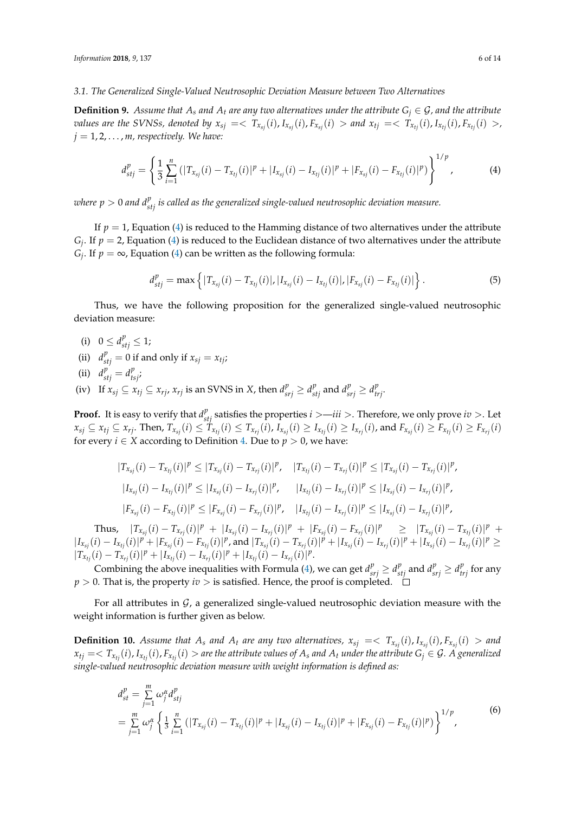#### *3.1. The Generalized Single-Valued Neutrosophic Deviation Measure between Two Alternatives*

**Definition 9.** Assume that  $A_s$  and  $A_t$  are any two alternatives under the attribute  $G_i \in \mathcal{G}$ , and the attribute values are the SVNSs, denoted by  $x_{sj} = \langle T_{x_{sj}}(i), I_{x_{sj}}(i), F_{x_{sj}}(i) \rangle$  and  $x_{tj} = \langle T_{x_{tj}}(i), I_{x_{tj}}(i), F_{x_{tj}}(i) \rangle$ ,  $j = 1, 2, \ldots, m$ , respectively. We have:

$$
d_{stj}^p = \left\{ \frac{1}{3} \sum_{i=1}^n (|T_{x_{sj}}(i) - T_{x_{tj}}(i)|^p + |I_{x_{sj}}(i) - I_{x_{tj}}(i)|^p + |F_{x_{sj}}(i) - F_{x_{tj}}(i)|^p) \right\}^{1/p},
$$
(4)

 $w$ here  $p > 0$  and  $d_{stj}^p$  is called as the generalized single-valued neutrosophic deviation measure.

If  $p = 1$ , Equation [\(4\)](#page-5-0) is reduced to the Hamming distance of two alternatives under the attribute  $G_j$ . If  $p = 2$ , Equation [\(4\)](#page-5-0) is reduced to the Euclidean distance of two alternatives under the attribute  $G_j$ . If  $p = \infty$ , Equation [\(4\)](#page-5-0) can be written as the following formula:

<span id="page-5-0"></span>
$$
d_{stj}^p = \max \left\{ |T_{x_{sj}}(i) - T_{x_{tj}}(i)|, |I_{x_{sj}}(i) - I_{x_{tj}}(i)|, |F_{x_{sj}}(i) - F_{x_{tj}}(i)| \right\}.
$$
 (5)

Thus, we have the following proposition for the generalized single-valued neutrosophic deviation measure:

- (i)  $0 \le d_{stj}^p \le 1;$
- (ii)  $d_{stj}^p = 0$  if and only if  $x_{sj} = x_{tj}$ ;
- (ii)  $d_{stj}^p = d_{tsj}^p$ ;
- (iv) If  $x_{sj} \subseteq x_{tj} \subseteq x_{rj}$ ,  $x_{rj}$  is an SVNS in X, then  $d_{srj}^p \ge d_{stj}^p$  and  $d_{srj}^p \ge d_{trj}^p$ .

**Proof.** It is easy to verify that  $d_{stj}^p$  satisfies the properties  $i > -iii >$ . Therefore, we only prove  $iv >$ . Let  $x_{sj} \subseteq x_{tj} \subseteq x_{rj}$ . Then,  $T_{x_{sj}}(i) \leq T_{x_{tj}}(i) \leq T_{x_{rj}}(i)$ ,  $I_{x_{sj}}(i) \geq I_{x_{tj}}(i) \geq I_{x_{rj}}(i)$ , and  $F_{x_{sj}}(i) \geq F_{x_{tj}}(i) \geq F_{x_{rj}}(i)$ for every *i*  $\in$  *X* according to Definition [4.](#page-3-0) Due to *p*  $>$  0, we have:

$$
|T_{x_{sj}}(i) - T_{x_{tj}}(i)|^p \le |T_{x_{sj}}(i) - T_{x_{rj}}(i)|^p, \quad |T_{x_{tj}}(i) - T_{x_{rj}}(i)|^p \le |T_{x_{sj}}(i) - T_{x_{rj}}(i)|^p,
$$
  
\n
$$
|I_{x_{sj}}(i) - I_{x_{tj}}(i)|^p \le |I_{x_{sj}}(i) - I_{x_{rj}}(i)|^p, \quad |I_{x_{tj}}(i) - I_{x_{rj}}(i)|^p \le |I_{x_{sj}}(i) - I_{x_{rj}}(i)|^p,
$$
  
\n
$$
|F_{x_{sj}}(i) - F_{x_{tj}}(i)|^p \le |F_{x_{sj}}(i) - F_{x_{rj}}(i)|^p, \quad |I_{x_{tj}}(i) - I_{x_{rj}}(i)|^p \le |I_{x_{sj}}(i) - I_{x_{rj}}(i)|^p,
$$

Thus,  $|T_{x_{sj}}(i) - T_{x_{rj}}(i)|^p + |I_{x_{sj}}(i) - I_{x_{rj}}(i)|^p + |F_{x_{sj}}(i) - F_{x_{rj}}(i)|^p \ge |T_{x_{sj}}(i) - T_{x_{tj}}(i)|^p +$  $|I_{x_{sj}}(i) - I_{x_{tj}}(i)|^p + |F_{x_{sj}}(i) - F_{x_{tj}}(i)|^p$ , and  $|T_{x_{sj}}(i) - T_{x_{rj}}(i)|^p + |I_{x_{sj}}(i) - I_{x_{rj}}(i)|^p + |I_{x_{sj}}(i) - I_{x_{rj}}(i)|^p \ge$  $|T_{x_{tj}}(i) - T_{x_{rj}}(i)|^p + |I_{x_{tj}}(i) - I_{x_{rj}}(i)|^p + |I_{x_{tj}}(i) - I_{x_{rj}}(i)|^p.$ 

Combining the above inequalities with Formula [\(4\)](#page-5-0), we can get  $d_{srj}^p \ge d_{stj}^p$  and  $d_{srj}^p \ge d_{trj}^p$  for any  $p > 0$ . That is, the property  $iv >$  is satisfied. Hence, the proof is completed.  $\square$ 

For all attributes in  $G$ , a generalized single-valued neutrosophic deviation measure with the weight information is further given as below.

**Definition 10.** Assume that  $A_s$  and  $A_t$  are any two alternatives,  $x_{sj} = \langle T_{x_{sj}}(i), I_{x_{sj}}(i), F_{x_{sj}}(i) \rangle$  and  $x_{tj} = \langle T_{x_{tj}}(i), I_{x_{tj}}(i), F_{x_{tj}}(i) \rangle$  are the attribute values of  $A_s$  and  $A_t$  under the attribute  $G_i \in \mathcal{G}$ . A generalized *single-valued neutrosophic deviation measure with weight information is defined as:*

$$
d_{st}^{p} = \sum_{j=1}^{m} \omega_{j}^{\alpha} d_{stj}^{p}
$$
  
= 
$$
\sum_{j=1}^{m} \omega_{j}^{\alpha} \left\{ \frac{1}{3} \sum_{i=1}^{n} (|T_{x_{sj}}(i) - T_{x_{tj}}(i)|^{p} + |I_{x_{sj}}(i) - I_{x_{tj}}(i)|^{p} + |F_{x_{sj}}(i) - F_{x_{tj}}(i)|^{p}) \right\}^{1/p}
$$
 (6)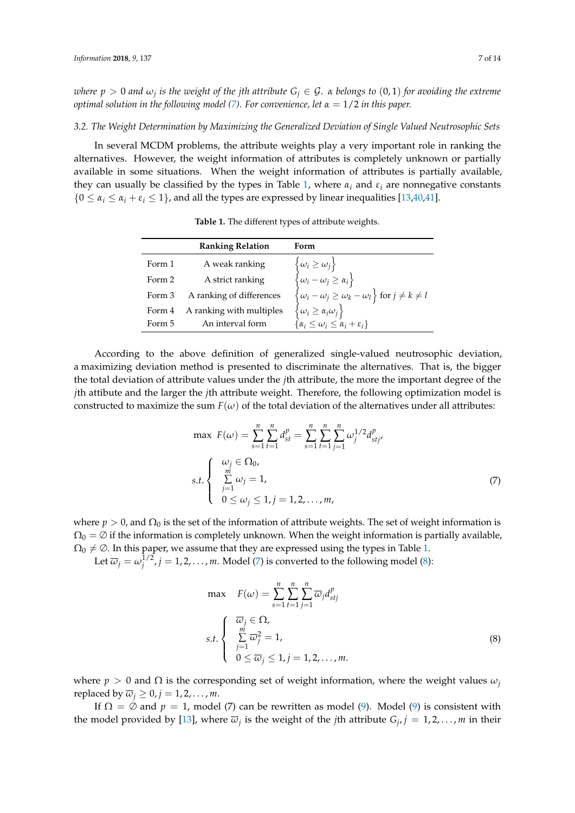$\omega$  *where*  $p > 0$  *and*  $\omega_j$  *is the weight of the jth attribute*  $G_j \in \mathcal{G}$ *.*  $\alpha$  *belongs to*  $(0,1)$  *for avoiding the extreme optimal solution in the following model [\(7\)](#page-6-0). For convenience, let α* = 1/2 *in this paper.*

#### *3.2. The Weight Determination by Maximizing the Generalized Deviation of Single Valued Neutrosophic Sets*

<span id="page-6-1"></span>In several MCDM problems, the attribute weights play a very important role in ranking the alternatives. However, the weight information of attributes is completely unknown or partially available in some situations. When the weight information of attributes is partially available, they can usually be classified by the types in Table [1,](#page-6-1) where  $\alpha_i$  and  $\varepsilon_i$  are nonnegative constants  $\{0 \le \alpha_i \le \alpha_i + \varepsilon_i \le 1\}$ , and all the types are expressed by linear inequalities [\[13](#page-12-12)[,40](#page-13-19)[,41\]](#page-13-20).

|        | <b>Ranking Relation</b>  | Form                                                                                                                                                                                                                                                                                                                   |
|--------|--------------------------|------------------------------------------------------------------------------------------------------------------------------------------------------------------------------------------------------------------------------------------------------------------------------------------------------------------------|
| Form 1 | A weak ranking           | $\begin{aligned} &\left\{\omega_i\geq\omega_j\right\}\\ &\left\{\omega_i-\omega_j\geq\alpha_i\right\}\\ &\left\{\omega_i-\omega_j\geq\omega_k-\omega_l\right\}\text{ for }j\neq k\neq l\\ &\left\{\omega_i\geq\alpha_i\omega_j\right\}\\ &\left\{\alpha_i\leq\omega_i\leq\alpha_i+\varepsilon_i\right\} \end{aligned}$ |
| Form 2 | A strict ranking         |                                                                                                                                                                                                                                                                                                                        |
| Form 3 | A ranking of differences |                                                                                                                                                                                                                                                                                                                        |
| Form 4 | A ranking with multiples |                                                                                                                                                                                                                                                                                                                        |
| Form 5 | An interval form         |                                                                                                                                                                                                                                                                                                                        |

**Table 1.** The different types of attribute weights.

According to the above definition of generalized single-valued neutrosophic deviation, a maximizing deviation method is presented to discriminate the alternatives. That is, the bigger the total deviation of attribute values under the *j*th attribute, the more the important degree of the *j*th attibute and the larger the *j*th attribute weight. Therefore, the following optimization model is constructed to maximize the sum  $F(\omega)$  of the total deviation of the alternatives under all attributes:

<span id="page-6-0"></span>
$$
\max F(\omega) = \sum_{s=1}^{n} \sum_{t=1}^{n} d_{st}^{p} = \sum_{s=1}^{n} \sum_{t=1}^{n} \sum_{j=1}^{n} \omega_{j}^{1/2} d_{stj}^{p},
$$
  
s.t. 
$$
\begin{cases} \omega_{j} \in \Omega_{0}, \\ \sum_{j=1}^{m} \omega_{j} = 1, \\ 0 \le \omega_{j} \le 1, j = 1, 2, ..., m, \end{cases}
$$
 (7)

where  $p > 0$ , and  $\Omega_0$  is the set of the information of attribute weights. The set of weight information is  $\Omega_0 = \emptyset$  if the information is completely unknown. When the weight information is partially available,  $\Omega_0 \neq \emptyset$ . In this paper, we assume that they are expressed using the types in Table [1.](#page-6-1)

Let  $\overline{\omega}_j = \omega_j^{1/2}$ ,  $j = 1, 2, \ldots, m$ . Model [\(7\)](#page-6-0) is converted to the following model [\(8\)](#page-6-2):

<span id="page-6-2"></span>
$$
\max \quad F(\omega) = \sum_{s=1}^{n} \sum_{t=1}^{n} \sum_{j=1}^{n} \overline{\omega}_{j} d_{stj}^{p}
$$
\n
$$
s.t. \begin{cases} \n\overline{\omega}_{j} \in \Omega, \\ \n\sum_{j=1}^{m} \overline{\omega}_{j}^{2} = 1, \\ \n0 \le \overline{\omega}_{j} \le 1, j = 1, 2, ..., m. \n\end{cases} \tag{8}
$$

where  $p > 0$  and  $\Omega$  is the corresponding set of weight information, where the weight values  $\omega_j$ replaced by  $\overline{\omega}_i \geq 0$ ,  $j = 1, 2, \ldots, m$ .

If  $\Omega = \emptyset$  and  $p = 1$ , model (7) can be rewritten as model [\(9\)](#page-7-0). Model (9) is consistent with the model provided by [\[13\]](#page-12-12), where  $\overline{\omega}_j$  is the weight of the *j*th attribute  $G_j$ ,  $j = 1, 2, \ldots, m$  in their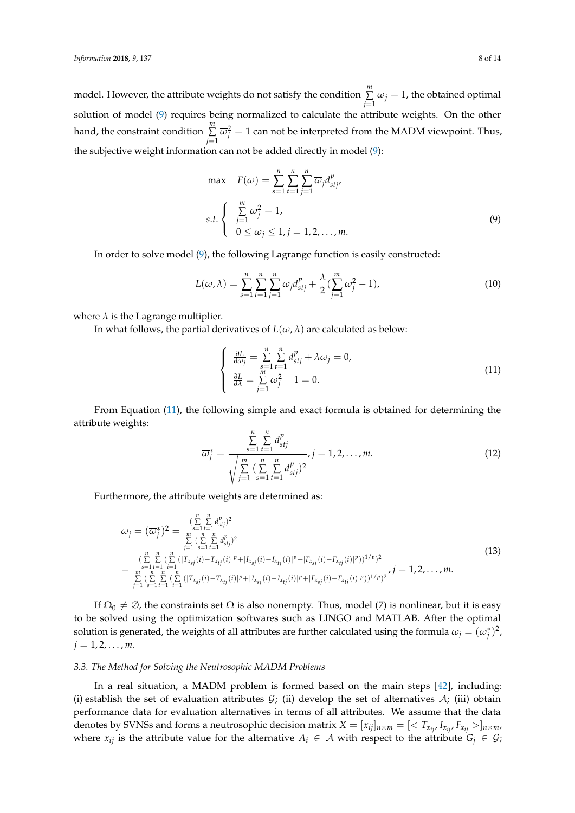model. However, the attribute weights do not satisfy the condition *m* ∑  $\sum_{j=1}$   $\overline{\omega}_j = 1$ , the obtained optimal solution of model [\(9\)](#page-7-0) requires being normalized to calculate the attribute weights. On the other hand, the constraint condition *m* ∑  $\sum_{j=1}^{n} \overline{\omega}_j^2 = 1$  can not be interpreted from the MADM viewpoint. Thus, the subjective weight information can not be added directly in model [\(9\)](#page-7-0):

<span id="page-7-0"></span>
$$
\max \quad F(\omega) = \sum_{s=1}^{n} \sum_{t=1}^{n} \sum_{j=1}^{n} \overline{\omega}_{j} d_{stj}^{p},
$$
\n
$$
s.t. \begin{cases} \sum_{j=1}^{m} \overline{\omega}_{j}^{2} = 1, \\ 0 \le \overline{\omega}_{j} \le 1, j = 1, 2, ..., m. \end{cases} \tag{9}
$$

In order to solve model [\(9\)](#page-7-0), the following Lagrange function is easily constructed:

$$
L(\omega, \lambda) = \sum_{s=1}^{n} \sum_{t=1}^{n} \sum_{j=1}^{n} \overline{\omega}_{j} d_{stj}^{p} + \frac{\lambda}{2} (\sum_{j=1}^{m} \overline{\omega}_{j}^{2} - 1),
$$
\n(10)

where  $\lambda$  is the Lagrange multiplier.

In what follows, the partial derivatives of  $L(\omega, \lambda)$  are calculated as below:

<span id="page-7-1"></span>
$$
\begin{cases}\n\frac{\partial L}{\partial \overline{\omega}_j} = \sum_{s=1}^n \sum_{t=1}^n d_{stj}^p + \lambda \overline{\omega}_j = 0, \\
\frac{\partial L}{\partial \lambda} = \sum_{j=1}^m \overline{\omega}_j^2 - 1 = 0.\n\end{cases}
$$
\n(11)

From Equation [\(11\)](#page-7-1), the following simple and exact formula is obtained for determining the attribute weights:

$$
\overline{\omega}_{j}^{*} = \frac{\sum_{s=1}^{n} \sum_{t=1}^{n} d_{stj}^{p}}{\sqrt{\sum_{j=1}^{m} (\sum_{s=1}^{n} \sum_{t=1}^{n} d_{stj}^{p})^{2}}}, j = 1, 2, ..., m.
$$
\n(12)

Furthermore, the attribute weights are determined as:

<span id="page-7-2"></span>
$$
\omega_{j} = (\overline{\omega}_{j}^{*})^{2} = \frac{\sum\limits_{s=1}^{n} \sum\limits_{t=1}^{n} d_{sij}^{p}}{\sum\limits_{j=1}^{n} \sum\limits_{s=1}^{n} \sum\limits_{t=1}^{n} d_{sij}^{p}} \newline = \frac{\sum\limits_{s=1}^{n} \sum\limits_{t=1}^{n} ( \sum\limits_{i=1}^{n} (|T_{x_{sj}}(i) - T_{x_{tj}}(i)|^{p} + |I_{x_{sj}}(i) - I_{x_{tj}}(i)|^{p} + |F_{x_{sj}}(i) - F_{x_{tj}}(i)|^{p})^{1/p})^{2}}{\sum\limits_{j=1}^{n} \sum\limits_{s=1}^{n} \sum\limits_{t=1}^{n} (\sum\limits_{i=1}^{n} (|T_{x_{sj}}(i) - T_{x_{tj}}(i)|^{p} + |I_{x_{sj}}(i) - I_{x_{tj}}(i)|^{p} + |F_{x_{sj}}(i) - F_{x_{tj}}(i)|^{p})^{1/p})^{2}}, j = 1, 2, ..., m.
$$
\n(13)

If  $\Omega_0 \neq \emptyset$ , the constraints set  $\Omega$  is also nonempty. Thus, model (7) is nonlinear, but it is easy to be solved using the optimization softwares such as LINGO and MATLAB. After the optimal solution is generated, the weights of all attributes are further calculated using the formula  $\omega_j=(\overline{\omega}_j^*)^2$ ,  $j = 1, 2, \ldots, m$ .

#### *3.3. The Method for Solving the Neutrosophic MADM Problems*

In a real situation, a MADM problem is formed based on the main steps [\[42\]](#page-13-21), including: (i) establish the set of evaluation attributes  $G$ ; (ii) develop the set of alternatives  $A$ ; (iii) obtain performance data for evaluation alternatives in terms of all attributes. We assume that the data denotes by SVNSs and forms a neutrosophic decision matrix  $X = [x_{ij}]_{n \times m} = \{ \langle T_{x_{ij}}, I_{x_{ij}}, F_{x_{ij}} \rangle \}_{n \times m}$ , where  $x_{ij}$  is the attribute value for the alternative  $A_i \in \mathcal{A}$  with respect to the attribute  $G_i \in \mathcal{G}$ ;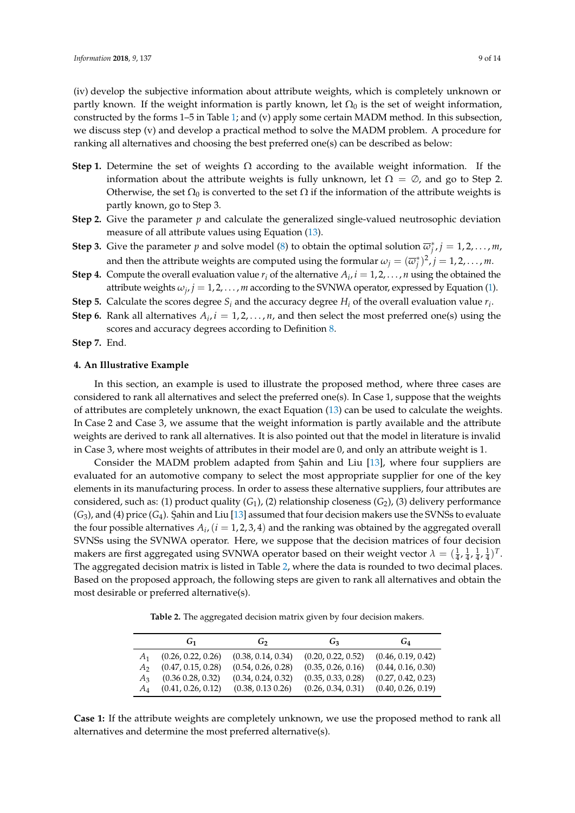(iv) develop the subjective information about attribute weights, which is completely unknown or partly known. If the weight information is partly known, let  $\Omega_0$  is the set of weight information, constructed by the forms 1–5 in Table [1;](#page-6-1) and (v) apply some certain MADM method. In this subsection, we discuss step (v) and develop a practical method to solve the MADM problem. A procedure for ranking all alternatives and choosing the best preferred one(s) can be described as below:

- **Step 1.** Determine the set of weights  $\Omega$  according to the available weight information. If the information about the attribute weights is fully unknown, let  $\Omega = \emptyset$ , and go to Step 2. Otherwise, the set  $\Omega_0$  is converted to the set  $\Omega$  if the information of the attribute weights is partly known, go to Step 3.
- **Step 2.** Give the parameter *p* and calculate the generalized single-valued neutrosophic deviation measure of all attribute values using Equation [\(13\)](#page-7-2).
- **Step 3.** Give the parameter *p* and solve model [\(8\)](#page-6-2) to obtain the optimal solution  $\overline{\omega}_j^*$ ,  $j = 1, 2, ..., m$ , and then the attribute weights are computed using the formular  $\omega_j = (\overline{\omega}_j^*)^2$ ,  $j = 1, 2, ..., m$ .
- **Step 4.** Compute the overall evaluation value  $r_i$  of the alternative  $A_i$ ,  $i = 1, 2, ..., n$  using the obtained the attribute weights  $\omega_j$ ,  $j = 1, 2, ..., m$  according to the SVNWA operator, expressed by Equation [\(1\)](#page-3-1).
- **Step 5.** Calculate the scores degree  $S_i$  and the accuracy degree  $H_i$  of the overall evaluation value  $r_i$ .
- **Step 6.** Rank all alternatives  $A_i$ ,  $i = 1, 2, ..., n$ , and then select the most preferred one(s) using the scores and accuracy degrees according to Definition [8.](#page-4-1)
- **Step 7.** End.

### <span id="page-8-0"></span>**4. An Illustrative Example**

In this section, an example is used to illustrate the proposed method, where three cases are considered to rank all alternatives and select the preferred one(s). In Case 1, suppose that the weights of attributes are completely unknown, the exact Equation [\(13\)](#page-7-2) can be used to calculate the weights. In Case 2 and Case 3, we assume that the weight information is partly available and the attribute weights are derived to rank all alternatives. It is also pointed out that the model in literature is invalid in Case 3, where most weights of attributes in their model are 0, and only an attribute weight is 1.

Consider the MADM problem adapted from Sahin and Liu [\[13\]](#page-12-12), where four suppliers are evaluated for an automotive company to select the most appropriate supplier for one of the key elements in its manufacturing process. In order to assess these alternative suppliers, four attributes are considered, such as: (1) product quality (*G*1), (2) relationship closeness (*G*2), (3) delivery performance  $(G_3)$ , and (4) price  $(G_4)$ . Sahin and Liu [\[13\]](#page-12-12) assumed that four decision makers use the SVNSs to evaluate the four possible alternatives  $A_i$ ,  $(i = 1, 2, 3, 4)$  and the ranking was obtained by the aggregated overall SVNSs using the SVNWA operator. Here, we suppose that the decision matrices of four decision makers are first aggregated using SVNWA operator based on their weight vector  $\lambda = (\frac{1}{4}, \frac{1}{4}, \frac{1}{4}, \frac{1}{4})^T$ . The aggregated decision matrix is listed in Table [2,](#page-8-1) where the data is rounded to two decimal places. Based on the proposed approach, the following steps are given to rank all alternatives and obtain the most desirable or preferred alternative(s).

**Table 2.** The aggregated decision matrix given by four decision makers.

<span id="page-8-1"></span>

|       | G <sub>1</sub>       | G <sub>2</sub>     | G3                 | $G_4$              |
|-------|----------------------|--------------------|--------------------|--------------------|
| A1    | (0.26, 0.22, 0.26)   | (0.38, 0.14, 0.34) | (0.20, 0.22, 0.52) | (0.46, 0.19, 0.42) |
| A۰    | (0.47, 0.15, 0.28)   | (0.54, 0.26, 0.28) | (0.35, 0.26, 0.16) | (0.44, 0.16, 0.30) |
| Aз    | $(0.36\ 0.28, 0.32)$ | (0.34, 0.24, 0.32) | (0.35, 0.33, 0.28) | (0.27, 0.42, 0.23) |
| $A_4$ | (0.41, 0.26, 0.12)   | (0.38, 0.13, 0.26) | (0.26, 0.34, 0.31) | (0.40, 0.26, 0.19) |

**Case 1:** If the attribute weights are completely unknown, we use the proposed method to rank all alternatives and determine the most preferred alternative(s).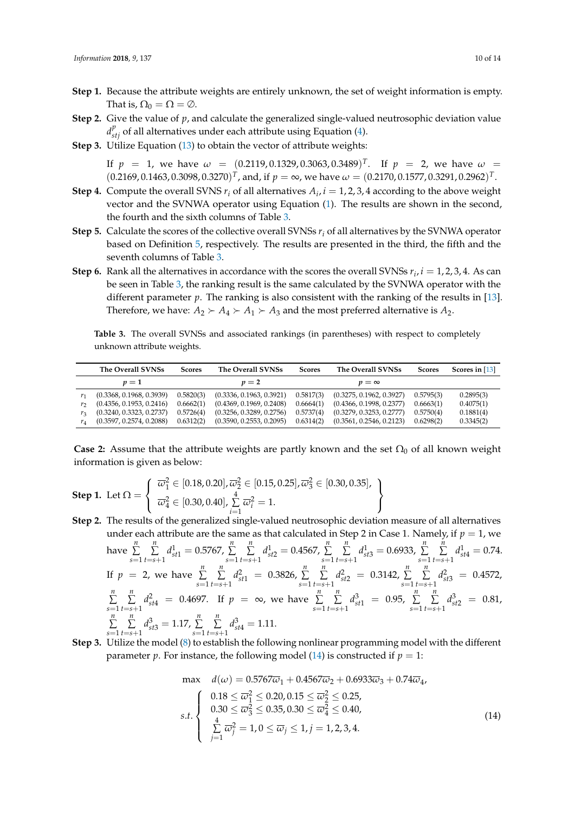- **Step 1.** Because the attribute weights are entirely unknown, the set of weight information is empty. That is,  $\Omega_0 = \Omega = \emptyset$ .
- **Step 2.** Give the value of *p*, and calculate the generalized single-valued neutrosophic deviation value  $d_{stj}^{p}$  of all alternatives under each attribute using Equation [\(4\)](#page-5-0).
- **Step 3.** Utilize Equation [\(13\)](#page-7-2) to obtain the vector of attribute weights:

If  $p$  = 1, we have  $\omega$  =  $(0.2119, 0.1329, 0.3063, 0.3489)^T$ . If  $p$  = 2, we have  $\omega$  =  $(0.2169, 0.1463, 0.3098, 0.3270)^T$ , and, if  $p = \infty$ , we have  $\omega = (0.2170, 0.1577, 0.3291, 0.2962)^T$ .

- **Step 4.** Compute the overall SVNS  $r_i$  of all alternatives  $A_i$ ,  $i = 1, 2, 3, 4$  according to the above weight vector and the SVNWA operator using Equation [\(1\)](#page-3-1). The results are shown in the second, the fourth and the sixth columns of Table [3.](#page-9-0)
- **Step 5.** Calculate the scores of the collective overall SVNSs *r<sup>i</sup>* of all alternatives by the SVNWA operator based on Definition [5,](#page-3-2) respectively. The results are presented in the third, the fifth and the seventh columns of Table [3.](#page-9-0)
- **Step 6.** Rank all the alternatives in accordance with the scores the overall SVNSs  $r_i$ ,  $i = 1, 2, 3, 4$ . As can be seen in Table [3,](#page-9-0) the ranking result is the same calculated by the SVNWA operator with the different parameter  $p$ . The ranking is also consistent with the ranking of the results in [\[13\]](#page-12-12). Therefore, we have:  $A_2 \succ A_4 \succ A_1 \succ A_3$  and the most preferred alternative is  $A_2$ .

<span id="page-9-0"></span>**Table 3.** The overall SVNSs and associated rankings (in parentheses) with respect to completely unknown attribute weights.

|                | The Overall SVNSs        | <b>Scores</b> | The Overall SVNSs        | <b>Scores</b> | The Overall SVNSs        | <b>Scores</b> | Scores in $[13]$ |
|----------------|--------------------------|---------------|--------------------------|---------------|--------------------------|---------------|------------------|
|                | $\nu=1$                  |               | $p=2$                    |               | $p = \infty$             |               |                  |
|                | (0.3368, 0.1968, 0.3939) | 0.5820(3)     | (0.3336, 0.1963, 0.3921) | 0.5817(3)     | (0.3275, 0.1962, 0.3927) | 0.5795(3)     | 0.2895(3)        |
| r,             | (0.4356, 0.1953, 0.2416) | 0.6662(1)     | (0.4369, 0.1969, 0.2408) | 0.6664(1)     | (0.4366, 0.1998, 0.2377) | 0.6663(1)     | 0.4075(1)        |
|                | (0.3240, 0.3323, 0.2737) | 0.5726(4)     | (0.3256, 0.3289, 0.2756) | 0.5737(4)     | (0.3279, 0.3253, 0.2777) | 0.5750(4)     | 0.1881(4)        |
| r <sub>A</sub> | (0.3597, 0.2574, 0.2088) | 0.6312(2)     | (0.3590, 0.2553, 0.2095) | 0.6314(2)     | (0.3561, 0.2546, 0.2123) | 0.6298(2)     | 0.3345(2)        |

**Case 2:** Assume that the attribute weights are partly known and the set  $\Omega_0$  of all known weight information is given as below:

Step 1. Let 
$$
\Omega = \begin{cases} \n\overline{\omega}_1^2 \in [0.18, 0.20], \overline{\omega}_2^2 \in [0.15, 0.25], \overline{\omega}_3^2 \in [0.30, 0.35], \\ \n\overline{\omega}_4^2 \in [0.30, 0.40], \sum_{i=1}^4 \overline{\omega}_i^2 = 1. \n\end{cases}
$$

- **Step 2.** The results of the generalized single-valued neutrosophic deviation measure of all alternatives under each attribute are the same as that calculated in Step 2 in Case 1. Namely, if  $p=1$ , we have  $\sum_{n=1}^{\infty}$ *s*=1 *n* ∑ *t*=*s*+1  $d_{st1}^1 = 0.5767, \sum_{n=1}^n$ *s*=1 *n* ∑ *t*=*s*+1  $d_{st2}^1 = 0.4567, \sum_{i=1}^n$ *s*=1 *n* ∑ *t*=*s*+1  $d_{st3}^1 = 0.6933, \sum_{n=1}^{\infty}$ *s*=1 *n* ∑ *t*=*s*+1  $d_{st4}^1 = 0.74.$ If  $p = 2$ , we have  $\sum_{n=1}^{\infty}$ *s*=1 *n* ∑ *t*=*s*+1  $d_{st1}^2 = 0.3826, \sum_{n=1}^{n}$ *s*=1 *n* ∑ *t*=*s*+1  $d_{st2}^2 = 0.3142, \sum_{n=1}^{n}$ *s*=1 *n* ∑ *t*=*s*+1  $d_{st3}^2 = 0.4572$ *n* ∑ *s*=1 *n* ∑ *t*=*s*+1  $d_{st4}^2 = 0.4697$ . If  $p = \infty$ , we have  $\sum_{n=1}^{n}$ *s*=1 *n* ∑ *t*=*s*+1  $d_{st1}^3 = 0.95, \sum_{n=1}^{\infty}$ *s*=1 *n* ∑ *t*=*s*+1  $d_{st2}^3$  = 0.81, *n* ∑ *s*=1 *n* ∑ *t*=*s*+1  $d_{st3}^3 = 1.17, \sum_{i=1}^n$ *s*=1 *n* ∑ *t*=*s*+1  $d_{st4}^3 = 1.11.$
- **Step 3.** Utilize the model [\(8\)](#page-6-2) to establish the following nonlinear programming model with the different parameter *p*. For instance, the following model [\(14\)](#page-9-1) is constructed if  $p = 1$ :

<span id="page-9-1"></span>max 
$$
d(\omega) = 0.5767\overline{\omega}_1 + 0.4567\overline{\omega}_2 + 0.6933\overline{\omega}_3 + 0.74\overline{\omega}_4
$$
,  
\n
$$
s.t. \begin{cases}\n0.18 \le \overline{\omega}_1^2 \le 0.20, 0.15 \le \overline{\omega}_2^2 \le 0.25, \\
0.30 \le \overline{\omega}_3^2 \le 0.35, 0.30 \le \overline{\omega}_4^2 \le 0.40, \\
\frac{4}{\sum_{j=1}^4 \overline{\omega}_j^2} = 1, 0 \le \overline{\omega}_j \le 1, j = 1, 2, 3, 4.\n\end{cases}
$$
\n(14)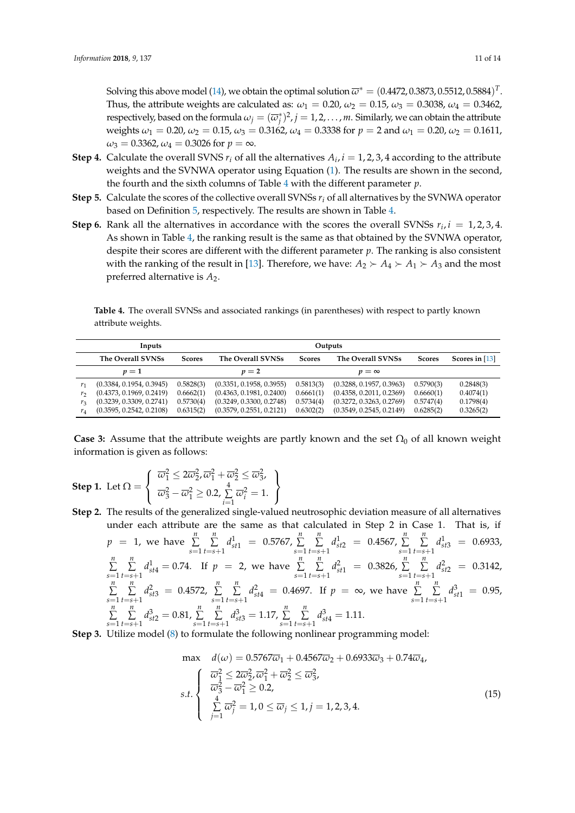Solving this above model [\(14\)](#page-9-1), we obtain the optimal solution  $\overline{\omega}^*=(0.4472,0.3873,0.5512,0.5884)^T.$ Thus, the attribute weights are calculated as:  $\omega_1 = 0.20$ ,  $\omega_2 = 0.15$ ,  $\omega_3 = 0.3038$ ,  $\omega_4 = 0.3462$ , respectively, based on the formula  $\omega_j=(\overline{\omega}_j^*)^2$ ,  $j=1,2,\ldots,m.$  Similarly, we can obtain the attribute weights *ω*<sup>1</sup> = 0.20, *ω*<sup>2</sup> = 0.15, *ω*<sup>3</sup> = 0.3162, *ω*<sup>4</sup> = 0.3338 for *p* = 2 and *ω*<sup>1</sup> = 0.20, *ω*<sup>2</sup> = 0.1611,  $\omega_3 = 0.3362, \omega_4 = 0.3026$  for  $p = \infty$ .

- **Step 4.** Calculate the overall SVNS  $r_i$  of all the alternatives  $A_i$ ,  $i = 1, 2, 3, 4$  according to the attribute weights and the SVNWA operator using Equation [\(1\)](#page-3-1). The results are shown in the second, the fourth and the sixth columns of Table [4](#page-10-0) with the different parameter *p*.
- **Step 5.** Calculate the scores of the collective overall SVNSs *r<sup>i</sup>* of all alternatives by the SVNWA operator based on Definition [5,](#page-3-2) respectively. The results are shown in Table [4.](#page-10-0)
- **Step 6.** Rank all the alternatives in accordance with the scores the overall SVNSs  $r_i$ ,  $i = 1, 2, 3, 4$ . As shown in Table [4,](#page-10-0) the ranking result is the same as that obtained by the SVNWA operator, despite their scores are different with the different parameter *p*. The ranking is also consistent with the ranking of the result in [\[13\]](#page-12-12). Therefore, we have:  $A_2 \succ A_4 \succ A_1 \succ A_3$  and the most preferred alternative is *A*2.

<span id="page-10-0"></span>**Table 4.** The overall SVNSs and associated rankings (in parentheses) with respect to partly known attribute weights.

| Inputs         |                                    |           |                          |               |                          |               |                |
|----------------|------------------------------------|-----------|--------------------------|---------------|--------------------------|---------------|----------------|
|                | The Overall SVNSs<br><b>Scores</b> |           | <b>The Overall SVNSs</b> | <b>Scores</b> | The Overall SVNSs        | <b>Scores</b> | Scores in [13] |
|                | $\nu=1$                            |           | $p=2$                    |               | $v = \infty$             |               |                |
| r <sub>1</sub> | (0.3384, 0.1954, 0.3945)           | 0.5828(3) | (0.3351, 0.1958, 0.3955) | 0.5813(3)     | (0.3288, 0.1957, 0.3963) | 0.5790(3)     | 0.2848(3)      |
| r <sub>2</sub> | (0.4373, 0.1969, 0.2419)           | 0.6662(1) | (0.4363, 0.1981, 0.2400) | 0.6661(1)     | (0.4358, 0.2011, 0.2369) | 0.6660(1)     | 0.4074(1)      |
| r <sub>3</sub> | (0.3239, 0.3309, 0.2741)           | 0.5730(4) | (0.3249, 0.3300, 0.2748) | 0.5734(4)     | (0.3272, 0.3263, 0.2769) | 0.5747(4)     | 0.1798(4)      |
| $r_4$          | (0.3595, 0.2542, 0.2108)           | 0.6315(2) | (0.3579, 0.2551, 0.2121) | 0.6302(2)     | (0.3549, 0.2545, 0.2149) | 0.6285(2)     | 0.3265(2)      |

**Case 3:** Assume that the attribute weights are partly known and the set  $\Omega_0$  of all known weight information is given as follows:

> <span id="page-10-1"></span> $\mathcal{L}$  $\mathcal{L}$  $\int$

- **Step 1.** Let  $\Omega =$  $\sqrt{ }$ J  $\mathcal{L}$  $\overline{\omega}_1^2 \leq 2\overline{\omega}_2^2$ ,  $\overline{\omega}_1^2 + \overline{\omega}_2^2 \leq \overline{\omega}_3^2$ ,  $\overline{\omega}_3^2 - \overline{\omega}_1^2 \geq 0.2$ ,  $\sum_1^4$  $\sum_{i=1}^{\infty} \overline{\omega}_i^2 = 1.$
- **Step 2.** The results of the generalized single-valued neutrosophic deviation measure of all alternatives under each attribute are the same as that calculated in Step 2 in Case 1. That is, if  $p = 1$ , we have  $\sum^{n}$ *s*=1 *n* ∑ *t*=*s*+1  $d_{st1}^1$  = 0.5767,  $\sum_{1}^{n}$ *s*=1 *n* ∑ *t*=*s*+1  $d_{st2}^1 = 0.4567, \sum_{n=1}^{n}$ *s*=1 *n* ∑ *t*=*s*+1  $d_{st3}^1$  = 0.6933, *n* ∑ *s*=1 *n* ∑ *t*=*s*+1  $d_{st4}^1 = 0.74$ . If  $p = 2$ , we have  $\sum_{n=1}^{n}$ *s*=1 *n* ∑ *t*=*s*+1  $d_{st1}^2$  = 0.3826,  $\sum_{n=1}^n$ *s*=1 *n* ∑ *t*=*s*+1  $d_{st2}^2$  = 0.3142, *n* ∑ *s*=1 *n* ∑ *t*=*s*+1  $d_{st3}^2 = 0.4572, \sum_{n=1}^n$ *s*=1 *n* ∑ *t*=*s*+1  $d_{\text{sf4}}^2 = 0.4697$ . If  $p = \infty$ , we have  $\sum_{n=1}^{n}$ *s*=1 *n* ∑ *t*=*s*+1  $d_{st1}^3 = 0.95$ , *n* ∑ *s*=1 *n* ∑ *t*=*s*+1  $d_{st2}^3 = 0.81, \sum_{n=1}^{\infty}$ *s*=1 *n* ∑ *t*=*s*+1  $d_{st3}^3 = 1.17, \sum_{i=1}^n$ *s*=1 *n* ∑ *t*=*s*+1  $d_{st4}^3 = 1.11.$

**Step 3.** Utilize model [\(8\)](#page-6-2) to formulate the following nonlinear programming model:

max 
$$
d(\omega) = 0.5767\overline{\omega}_1 + 0.4567\overline{\omega}_2 + 0.6933\overline{\omega}_3 + 0.74\overline{\omega}_4
$$
,  
\n
$$
s.t. \begin{cases}\n\overline{\omega}_1^2 \le 2\overline{\omega}_2^2, \overline{\omega}_1^2 + \overline{\omega}_2^2 \le \overline{\omega}_3^2, \\
\overline{\omega}_3^2 - \overline{\omega}_1^2 \ge 0.2, \\
\sum_{j=1}^4 \overline{\omega}_j^2 = 1, 0 \le \overline{\omega}_j \le 1, j = 1, 2, 3, 4.\n\end{cases}
$$
\n(15)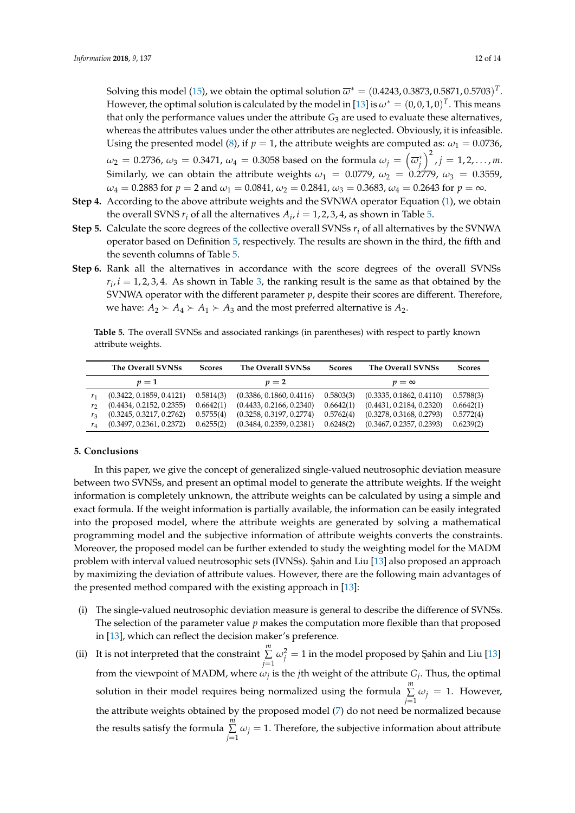Solving this model [\(15\)](#page-10-1), we obtain the optimal solution  $\overline{\omega}^* = (0.4243, 0.3873, 0.5871, 0.5703)^T.$ However, the optimal solution is calculated by the model in [\[13\]](#page-12-12) is  $\omega^* = (0,0,1,0)^T$ . This means that only the performance values under the attribute  $G_3$  are used to evaluate these alternatives, whereas the attributes values under the other attributes are neglected. Obviously, it is infeasible. Using the presented model [\(8\)](#page-6-2), if  $p = 1$ , the attribute weights are computed as:  $\omega_1 = 0.0736$ ,  $\omega_2=0.2736$ ,  $\omega_3=0.3471$ ,  $\omega_4=0.3058$  based on the formula  $\omega_j=\left(\overline{\omega}_j^*\right)^2$  ,  $j=1,2,\ldots,m.$ Similarly, we can obtain the attribute weights  $\omega_1 = 0.0779$ ,  $\omega_2 = 0.2779$ ,  $\omega_3 = 0.3559$ ,  $\omega_4 = 0.2883$  for  $p = 2$  and  $\omega_1 = 0.0841$ ,  $\omega_2 = 0.2841$ ,  $\omega_3 = 0.3683$ ,  $\omega_4 = 0.2643$  for  $p = \infty$ .

- **Step 4.** According to the above attribute weights and the SVNWA operator Equation [\(1\)](#page-3-1), we obtain the overall SVNS  $r_i$  of all the alternatives  $A_i$ ,  $i = 1, 2, 3, 4$ , as shown in Table [5.](#page-11-1)
- **Step 5.** Calculate the score degrees of the collective overall SVNSs *r<sup>i</sup>* of all alternatives by the SVNWA operator based on Definition [5,](#page-3-2) respectively. The results are shown in the third, the fifth and the seventh columns of Table [5.](#page-11-1)
- **Step 6.** Rank all the alternatives in accordance with the score degrees of the overall SVNSs  $r_i$ ,  $i = 1, 2, 3, 4$  $i = 1, 2, 3, 4$  $i = 1, 2, 3, 4$ . As shown in Table 3, the ranking result is the same as that obtained by the SVNWA operator with the different parameter *p*, despite their scores are different. Therefore, we have:  $A_2 \succ A_4 \succ A_1 \succ A_3$  and the most preferred alternative is  $A_2$ .

<span id="page-11-1"></span>**Table 5.** The overall SVNSs and associated rankings (in parentheses) with respect to partly known attribute weights.

|                | The Overall SVNSs        | <b>Scores</b> | The Overall SVNSs        | <b>Scores</b> | The Overall SVNSs        | <b>Scores</b> |
|----------------|--------------------------|---------------|--------------------------|---------------|--------------------------|---------------|
|                | $\nu=1$                  |               | $p=2$                    |               | $p = \infty$             |               |
| r <sub>1</sub> | (0.3422, 0.1859, 0.4121) | 0.5814(3)     | (0.3386, 0.1860, 0.4116) | 0.5803(3)     | (0.3335, 0.1862, 0.4110) | 0.5788(3)     |
| r              | (0.4434, 0.2152, 0.2355) | 0.6642(1)     | (0.4433, 0.2166, 0.2340) | 0.6642(1)     | (0.4431, 0.2184, 0.2320) | 0.6642(1)     |
| r <sub>3</sub> | (0.3245, 0.3217, 0.2762) | 0.5755(4)     | (0.3258, 0.3197, 0.2774) | 0.5762(4)     | (0.3278, 0.3168, 0.2793) | 0.5772(4)     |
| $r_4$          | (0.3497, 0.2361, 0.2372) | 0.6255(2)     | (0.3484, 0.2359, 0.2381) | 0.6248(2)     | (0.3467, 0.2357, 0.2393) | 0.6239(2)     |

## <span id="page-11-0"></span>**5. Conclusions**

In this paper, we give the concept of generalized single-valued neutrosophic deviation measure between two SVNSs, and present an optimal model to generate the attribute weights. If the weight information is completely unknown, the attribute weights can be calculated by using a simple and exact formula. If the weight information is partially available, the information can be easily integrated into the proposed model, where the attribute weights are generated by solving a mathematical programming model and the subjective information of attribute weights converts the constraints. Moreover, the proposed model can be further extended to study the weighting model for the MADM problem with interval valued neutrosophic sets (IVNSs). Şahin and Liu [\[13\]](#page-12-12) also proposed an approach by maximizing the deviation of attribute values. However, there are the following main advantages of the presented method compared with the existing approach in [\[13\]](#page-12-12):

- (i) The single-valued neutrosophic deviation measure is general to describe the difference of SVNSs. The selection of the parameter value *p* makes the computation more flexible than that proposed in [\[13\]](#page-12-12), which can reflect the decision maker's preference.
- (ii) It is not interpreted that the constraint *m* ∑  $\sum\limits_{j=1}\omega_j^2=1$  in the model proposed by Şahin and Liu [\[13\]](#page-12-12) from the viewpoint of MADM, where  $\omega_j$  is the *j*th weight of the attribute  $G_j$ . Thus, the optimal solution in their model requires being normalized using the formula *m* ∑  $\sum_{j=1} \omega_j = 1$ . However, the attribute weights obtained by the proposed model  $(7)$  do not need be normalized because the results satisfy the formula *m* ∑  $\sum_{j=1} \omega_j = 1$ . Therefore, the subjective information about attribute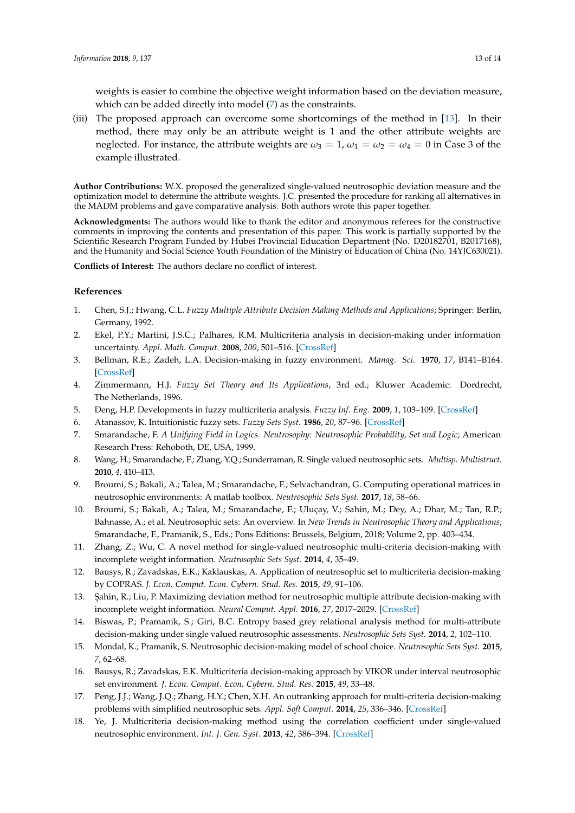weights is easier to combine the objective weight information based on the deviation measure, which can be added directly into model [\(7\)](#page-6-0) as the constraints.

(iii) The proposed approach can overcome some shortcomings of the method in [\[13\]](#page-12-12). In their method, there may only be an attribute weight is 1 and the other attribute weights are neglected. For instance, the attribute weights are  $\omega_3 = 1$ ,  $\omega_1 = \omega_2 = \omega_4 = 0$  in Case 3 of the example illustrated.

**Author Contributions:** W.X. proposed the generalized single-valued neutrosophic deviation measure and the optimization model to determine the attribute weights. J.C. presented the procedure for ranking all alternatives in the MADM problems and gave comparative analysis. Both authors wrote this paper together.

**Acknowledgments:** The authors would like to thank the editor and anonymous referees for the constructive comments in improving the contents and presentation of this paper. This work is partially supported by the Scientific Research Program Funded by Hubei Provincial Education Department (No. D20182701, B2017168), and the Humanity and Social Science Youth Foundation of the Ministry of Education of China (No. 14YJC630021).

**Conflicts of Interest:** The authors declare no conflict of interest.

## **References**

- <span id="page-12-0"></span>1. Chen, S.J.; Hwang, C.L. *Fuzzy Multiple Attribute Decision Making Methods and Applications*; Springer: Berlin, Germany, 1992.
- <span id="page-12-1"></span>2. Ekel, P.Y.; Martini, J.S.C.; Palhares, R.M. Multicriteria analysis in decision-making under information uncertainty. *Appl. Math. Comput.* **2008**, *200*, 501–516. [\[CrossRef\]](http://dx.doi.org/10.1016/j.amc.2007.11.024)
- <span id="page-12-2"></span>3. Bellman, R.E.; Zadeh, L.A. Decision-making in fuzzy environment. *Manag. Sci.* **1970**, *17*, B141–B164. [\[CrossRef\]](http://dx.doi.org/10.1287/mnsc.17.4.B141)
- <span id="page-12-3"></span>4. Zimmermann, H.J. *Fuzzy Set Theory and Its Applications*, 3rd ed.; Kluwer Academic: Dordrecht, The Netherlands, 1996.
- <span id="page-12-4"></span>5. Deng, H.P. Developments in fuzzy multicriteria analysis. *Fuzzy Inf. Eng.* **2009**, *1*, 103–109. [\[CrossRef\]](http://dx.doi.org/10.1007/s12543-009-0008-y)
- <span id="page-12-5"></span>6. Atanassov, K. Intuitionistic fuzzy sets. *Fuzzy Sets Syst.* **1986**, *20*, 87–96. [\[CrossRef\]](http://dx.doi.org/10.1016/S0165-0114(86)80034-3)
- <span id="page-12-6"></span>7. Smarandache, F. *A Unifying Field in Logics. Neutrosophy: Neutrosophic Probability, Set and Logic*; American Research Press: Rehoboth, DE, USA, 1999.
- <span id="page-12-7"></span>8. Wang, H.; Smarandache, F.; Zhang, Y.Q.; Sunderraman, R. Single valued neutrosophic sets. *Multisp. Multistruct.* **2010**, *4*, 410–413.
- <span id="page-12-8"></span>9. Broumi, S.; Bakali, A.; Talea, M.; Smarandache, F.; Selvachandran, G. Computing operational matrices in neutrosophic environments: A matlab toolbox. *Neutrosophic Sets Syst.* **2017**, *18*, 58–66.
- <span id="page-12-9"></span>10. Broumi, S.; Bakali, A.; Talea, M.; Smarandache, F.; Uluçay, V.; Sahin, M.; Dey, A.; Dhar, M.; Tan, R.P.; Bahnasse, A.; et al. Neutrosophic sets: An overview. In *New Trends in Neutrosophic Theory and Applications*; Smarandache, F., Pramanik, S., Eds.; Pons Editions: Brussels, Belgium, 2018; Volume 2, pp. 403–434.
- <span id="page-12-10"></span>11. Zhang, Z.; Wu, C. A novel method for single-valued neutrosophic multi-criteria decision-making with incomplete weight information. *Neutrosophic Sets Syst.* **2014**, *4*, 35–49.
- <span id="page-12-11"></span>12. Bausys, R.; Zavadskas, E.K.; Kaklauskas, A. Application of neutrosophic set to multicriteria decision-making by COPRAS. *J. Econ. Comput. Econ. Cybern. Stud. Res.* **2015**, *49*, 91–106.
- <span id="page-12-12"></span>13. Şahin, R.; Liu, P. Maximizing deviation method for neutrosophic multiple attribute decision-making with incomplete weight information. *Neural Comput. Appl.* **2016**, *27*, 2017–2029. [\[CrossRef\]](http://dx.doi.org/10.1007/s00521-015-1995-8)
- <span id="page-12-13"></span>14. Biswas, P.; Pramanik, S.; Giri, B.C. Entropy based grey relational analysis method for multi-attribute decision-making under single valued neutrosophic assessments. *Neutrosophic Sets Syst.* **2014**, *2*, 102–110.
- <span id="page-12-14"></span>15. Mondal, K.; Pramanik, S. Neutrosophic decision-making model of school choice. *Neutrosophic Sets Syst.* **2015**, *7*, 62–68.
- <span id="page-12-15"></span>16. Bausys, R.; Zavadskas, E.K. Multicriteria decision-making approach by VIKOR under interval neutrosophic set environment. *J. Econ. Comput. Econ. Cybern. Stud. Res.* **2015**, *49*, 33–48.
- <span id="page-12-16"></span>17. Peng, J.J.; Wang, J.Q.; Zhang, H.Y.; Chen, X.H. An outranking approach for multi-criteria decision-making problems with simplified neutrosophic sets. *Appl. Soft Comput.* **2014**, *25*, 336–346. [\[CrossRef\]](http://dx.doi.org/10.1016/j.asoc.2014.08.070)
- <span id="page-12-17"></span>18. Ye, J. Multicriteria decision-making method using the correlation coefficient under single-valued neutrosophic environment. *Int. J. Gen. Syst.* **2013**, *42*, 386–394. [\[CrossRef\]](http://dx.doi.org/10.1080/03081079.2012.761609)